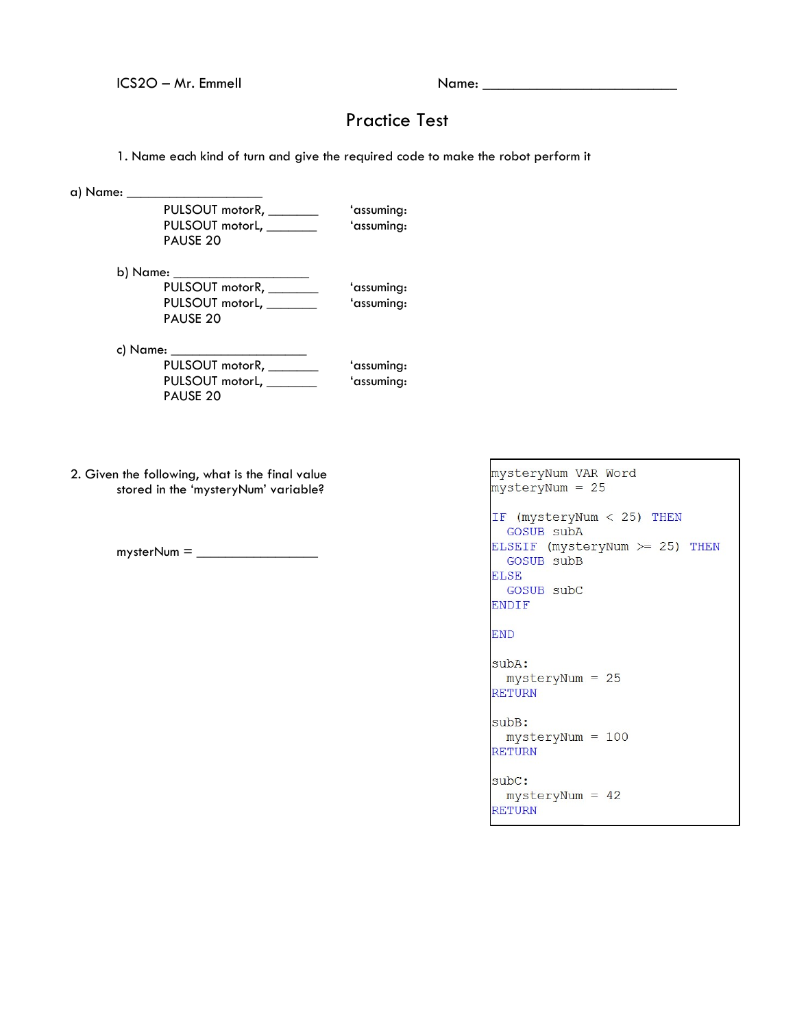ICS2O – Mr. Emmell Name: \_\_\_\_\_\_\_\_\_\_\_\_\_\_\_\_\_\_\_\_\_\_\_\_\_

## Practice Test

1. Name each kind of turn and give the required code to make the robot perform it

a) Name: \_\_\_\_

PULSOUT motorR, \_\_\_\_\_\_\_\_\_ 'assuming: PULSOUT motorL, \_\_\_\_\_\_\_\_\_\_ 'assuming: PAUSE 20

b) Name:

| PULSOUT motorR, _______ | 'assuming: |
|-------------------------|------------|
| PULSOUT motorL, ____    | 'assuming: |
| PAUSE 20                |            |

c) Name: \_\_

PULSOUT motorR, \_\_\_\_\_\_\_\_\_\_ 'assuming: PULSOUT motorL, \_\_\_\_\_\_\_\_\_\_ 'assuming: PAUSE 20

2. Given the following, what is the final value stored in the 'mysteryNum' variable?

 $m$ ysterNum =  $\frac{1}{2}$ 

```
mysteryNum VAR Word
mysteryNum = 25IF (mysteryNum < 25) THEN
 GOSUB subA
ELSEIF (mysteryNum >= 25) THEN
 GOSUB subB
ELSE
 GOSUB subC
ENDIF
END
subA:
 mysteryNum = 25RETURN
subB:
 mysteryNum = 100RETURN
subc:
 mysteryNum = 42RETURN
```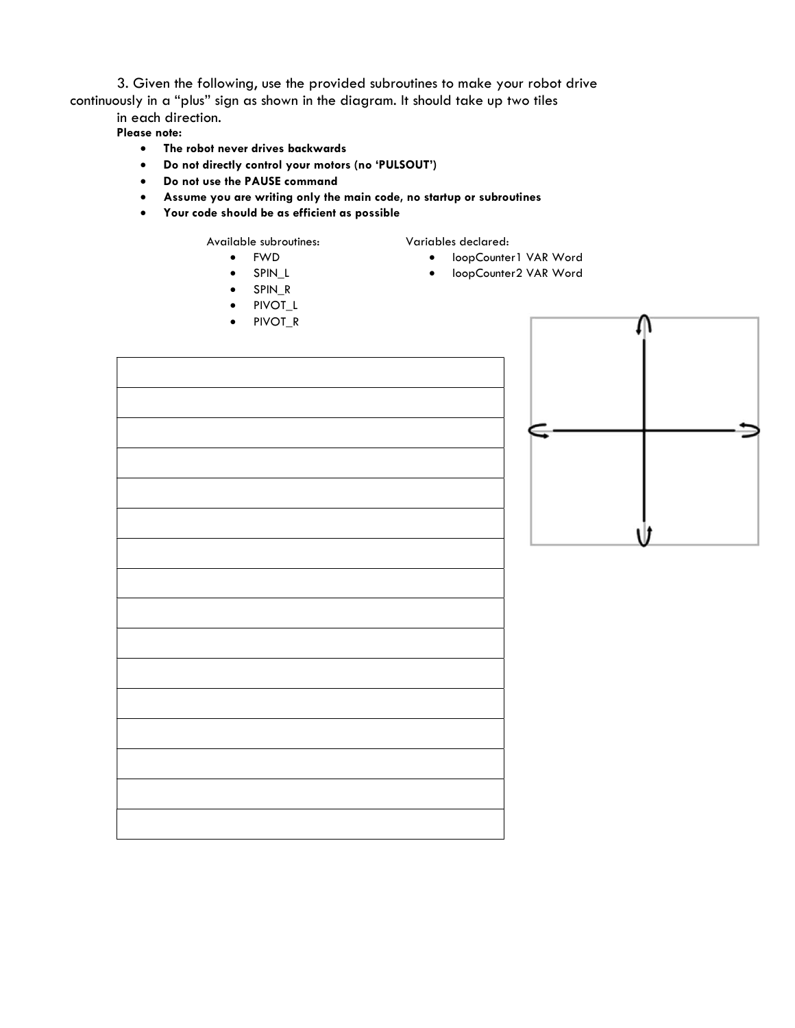3. Given the following, use the provided subroutines to make your robot drive continuously in a "plus" sign as shown in the diagram. It should take up two tiles in each direction.

- Please note:
	- The robot never drives backwards
	- Do not directly control your motors (no 'PULSOUT')
	- Do not use the PAUSE command
	- Assume you are writing only the main code, no startup or subroutines
	- Your code should be as efficient as possible

Available subroutines:

- FWD
- SPIN\_L
- SPIN\_R
- PIVOT\_L
- PIVOT\_R

Variables declared: loopCounter1 VAR Word

**•** loopCounter2 VAR Word